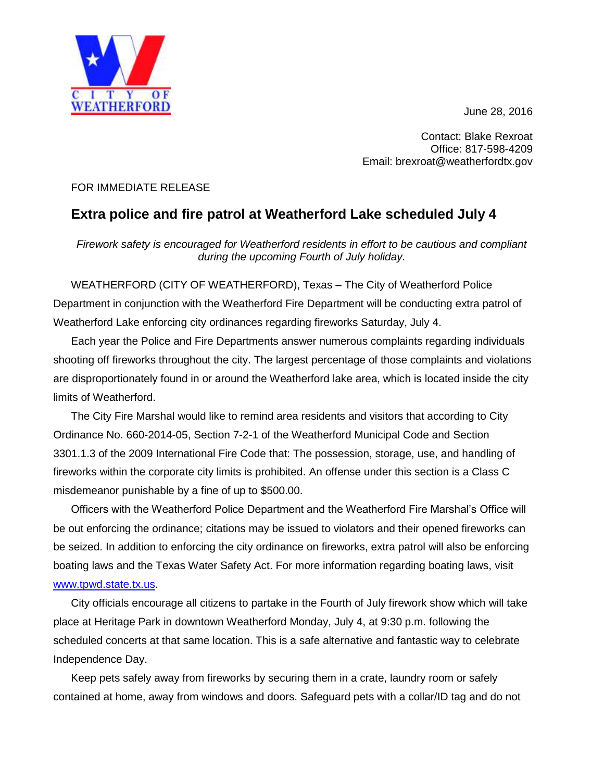June 28, 2016



Contact: Blake Rexroat Office: 817-598-4209 Email: brexroat@weatherfordtx.gov

## FOR IMMEDIATE RELEASE

## **Extra police and fire patrol at Weatherford Lake scheduled July 4**

*Firework safety is encouraged for Weatherford residents in effort to be cautious and compliant during the upcoming Fourth of July holiday.*

WEATHERFORD (CITY OF WEATHERFORD), Texas – The City of Weatherford Police Department in conjunction with the Weatherford Fire Department will be conducting extra patrol of Weatherford Lake enforcing city ordinances regarding fireworks Saturday, July 4.

Each year the Police and Fire Departments answer numerous complaints regarding individuals shooting off fireworks throughout the city. The largest percentage of those complaints and violations are disproportionately found in or around the Weatherford lake area, which is located inside the city limits of Weatherford.

The City Fire Marshal would like to remind area residents and visitors that according to City Ordinance No. 660-2014-05, Section 7-2-1 of the Weatherford Municipal Code and Section 3301.1.3 of the 2009 International Fire Code that: The possession, storage, use, and handling of fireworks within the corporate city limits is prohibited. An offense under this section is a Class C misdemeanor punishable by a fine of up to \$500.00.

Officers with the Weatherford Police Department and the Weatherford Fire Marshal's Office will be out enforcing the ordinance; citations may be issued to violators and their opened fireworks can be seized. In addition to enforcing the city ordinance on fireworks, extra patrol will also be enforcing boating laws and the Texas Water Safety Act. For more information regarding boating laws, visit [www.tpwd.state.tx.us.](http://www.tpwd.state.tx.us/)

City officials encourage all citizens to partake in the Fourth of July firework show which will take place at Heritage Park in downtown Weatherford Monday, July 4, at 9:30 p.m. following the scheduled concerts at that same location. This is a safe alternative and fantastic way to celebrate Independence Day.

Keep pets safely away from fireworks by securing them in a crate, laundry room or safely contained at home, away from windows and doors. Safeguard pets with a collar/ID tag and do not